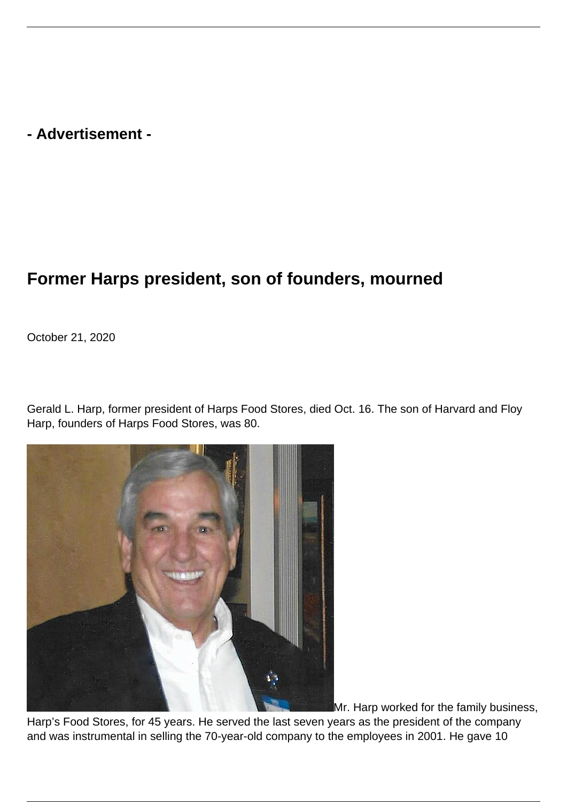**- Advertisement -**

## **Former Harps president, son of founders, mourned**

October 21, 2020

Gerald L. Harp, former president of Harps Food Stores, died Oct. 16. The son of Harvard and Floy Harp, founders of Harps Food Stores, was 80.



Mr. Harp worked for the family business,

Harp's Food Stores, for 45 years. He served the last seven years as the president of the company and was instrumental in selling the 70-year-old company to the employees in 2001. He gave 10